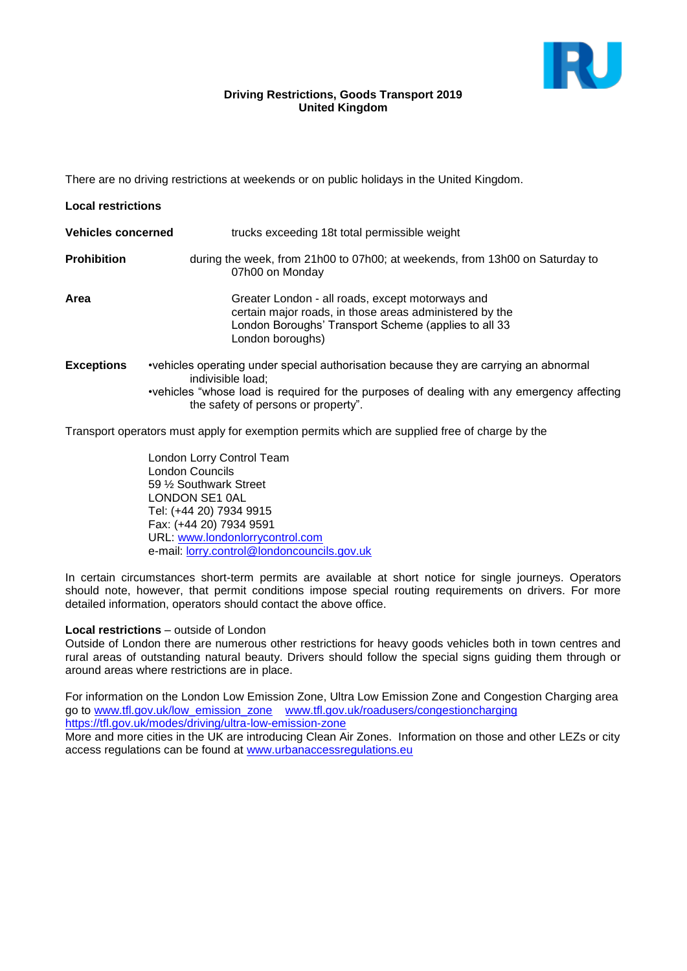

### **Driving Restrictions, Goods Transport 2019 United Kingdom**

There are no driving restrictions at weekends or on public holidays in the United Kingdom.

| <b>Local restrictions</b> |                                                                                                                                                                                                                                                 |
|---------------------------|-------------------------------------------------------------------------------------------------------------------------------------------------------------------------------------------------------------------------------------------------|
| <b>Vehicles concerned</b> | trucks exceeding 18t total permissible weight                                                                                                                                                                                                   |
| <b>Prohibition</b>        | during the week, from 21h00 to 07h00; at weekends, from 13h00 on Saturday to<br>07h00 on Monday                                                                                                                                                 |
| Area                      | Greater London - all roads, except motorways and<br>certain major roads, in those areas administered by the<br>London Boroughs' Transport Scheme (applies to all 33<br>London boroughs)                                                         |
| <b>Exceptions</b>         | •vehicles operating under special authorisation because they are carrying an abnormal<br>indivisible load:<br>•vehicles "whose load is required for the purposes of dealing with any emergency affecting<br>the safety of persons or property". |

Transport operators must apply for exemption permits which are supplied free of charge by the

London Lorry Control Team London Councils 59 ½ Southwark Street LONDON SE1 0AL Tel: (+44 20) 7934 9915 Fax: (+44 20) 7934 9591 URL: [www.londonlorrycontrol.com](http://www.londonlorrycontrol.com/) e-mail: [lorry.control@londoncouncils.gov.uk](mailto:lorry.control@londoncouncils.gov.uk)

In certain circumstances short-term permits are available at short notice for single journeys. Operators should note, however, that permit conditions impose special routing requirements on drivers. For more detailed information, operators should contact the above office.

### **Local restrictions** – outside of London

Outside of London there are numerous other restrictions for heavy goods vehicles both in town centres and rural areas of outstanding natural beauty. Drivers should follow the special signs guiding them through or around areas where restrictions are in place.

For information on the London Low Emission Zone, Ultra Low Emission Zone and Congestion Charging area go to [www.tfl.gov.uk/low\\_emission\\_zone](http://www.tfl.gov.uk/low_emission_zone) [www.tfl.gov.uk/roadusers/congestioncharging](http://www.tfl.gov.uk/roadusers/congestioncharging) <https://tfl.gov.uk/modes/driving/ultra-low-emission-zone>

More and more cities in the UK are introducing Clean Air Zones. Information on those and other LEZs or city access regulations can be found at [www.urbanaccessregulations.eu](http://www.urbanaccessregulations.eu/)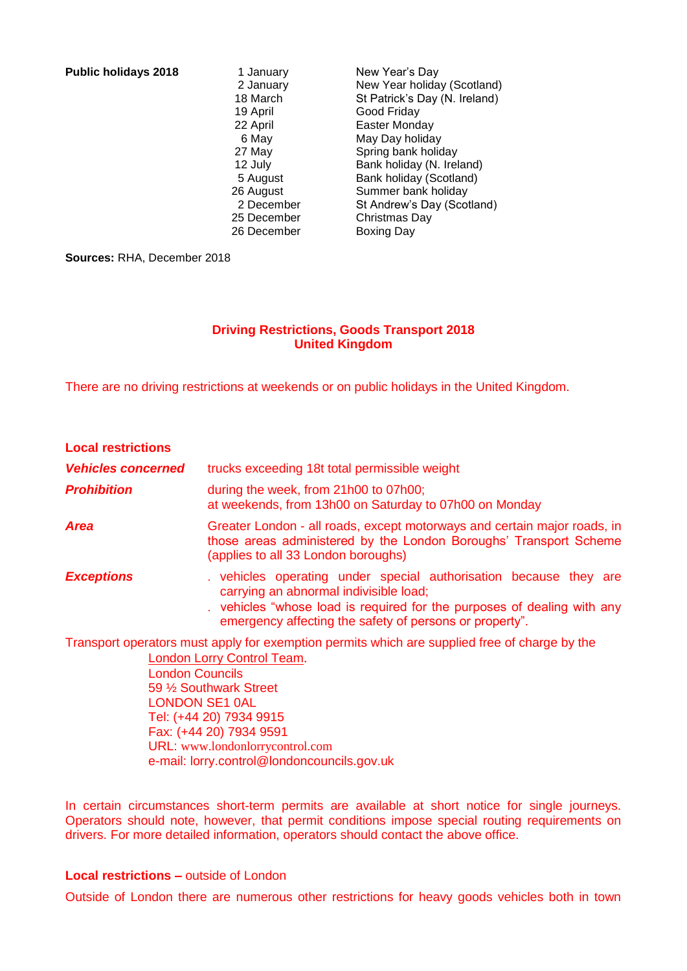**Public holidays 2018** 1 January 1 New Year's Day

 2 January New Year holiday (Scotland) 18 March St Patrick's Day (N. Ireland)<br>19 April Good Friday Good Friday 22 April Easter Monday 6 May May Day holiday 27 May Spring bank holiday 12 July Bank holiday (N. Ireland) 5 August Bank holiday (Scotland) 26 August Summer bank holiday 2 December St Andrew's Day (Scotland) 25 December Christmas Day 26 December Boxing Day

**Sources:** RHA, December 2018

# **Driving Restrictions, Goods Transport 2018 United Kingdom**

There are no driving restrictions at weekends or on public holidays in the United Kingdom.

| <b>Local restrictions</b> |                                                                                                                                                                                                                                               |
|---------------------------|-----------------------------------------------------------------------------------------------------------------------------------------------------------------------------------------------------------------------------------------------|
| <b>Vehicles concerned</b> | trucks exceeding 18t total permissible weight                                                                                                                                                                                                 |
| <b>Prohibition</b>        | during the week, from 21h00 to 07h00;<br>at weekends, from 13h00 on Saturday to 07h00 on Monday                                                                                                                                               |
| <b>Area</b>               | Greater London - all roads, except motorways and certain major roads, in<br>those areas administered by the London Boroughs' Transport Scheme<br>(applies to all 33 London boroughs)                                                          |
| <b>Exceptions</b>         | vehicles operating under special authorisation because they are<br>carrying an abnormal indivisible load;<br>vehicles "whose load is required for the purposes of dealing with any<br>emergency affecting the safety of persons or property". |
|                           | Transport operators must apply for exemption permits which are supplied free of charge by the                                                                                                                                                 |

I ransport operators must apply for exemption permits which are supplied free of charge by the [London Lorry Control Team](http://www.londonlorrycontrol.com/).

> London Councils 59 ½ Southwark Street LONDON SE1 0AL Tel: (+44 20) 7934 9915 Fax: (+44 20) 7934 9591 URL: [www.londonlorrycontrol.com](http://www.londonlorrycontrol.com/) e-mail: [lorry.control@londoncouncils.gov.uk](mailto:lorry.control@londoncouncils.gov.uk)

In certain circumstances short-term permits are available at short notice for single journeys. Operators should note, however, that permit conditions impose special routing requirements on drivers. For more detailed information, operators should contact the above office.

## **Local restrictions –** outside of London

Outside of London there are numerous other restrictions for heavy goods vehicles both in town